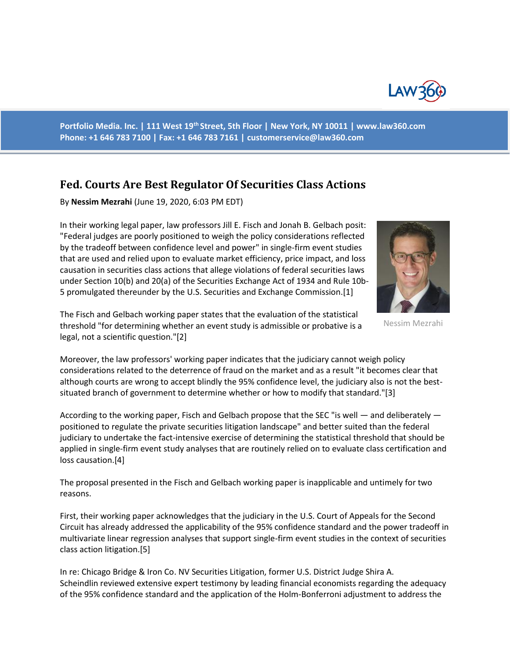

**Portfolio Media. Inc. | 111 West 19th Street, 5th Floor | New York, NY 10011 | www.law360.com Phone: +1 646 783 7100 | Fax: +1 646 783 7161 | customerservice@law360.com**

## **Fed. Courts Are Best Regulator Of Securities Class Actions**

By **Nessim Mezrahi** (June 19, 2020, 6:03 PM EDT)

In their working legal paper, law professors Jill E. Fisch and Jonah B. Gelbach posit: "Federal judges are poorly positioned to weigh the policy considerations reflected by the tradeoff between confidence level and power" in single-firm event studies that are used and relied upon to evaluate market efficiency, price impact, and loss causation in securities class actions that allege violations of federal securities laws under Section 10(b) and 20(a) of the Securities Exchange Act of 1934 and Rule 10b-5 promulgated thereunder by the U.S. Securities and Exchange Commission.[1]



Nessim Mezrahi

The Fisch and Gelbach working paper states that the evaluation of the statistical threshold "for determining whether an event study is admissible or probative is a legal, not a scientific question."[2]

Moreover, the law professors' working paper indicates that the judiciary cannot weigh policy considerations related to the deterrence of fraud on the market and as a result "it becomes clear that although courts are wrong to accept blindly the 95% confidence level, the judiciary also is not the bestsituated branch of government to determine whether or how to modify that standard."[3]

According to the working paper, Fisch and Gelbach propose that the SEC "is well — and deliberately positioned to regulate the private securities litigation landscape" and better suited than the federal judiciary to undertake the fact-intensive exercise of determining the statistical threshold that should be applied in single-firm event study analyses that are routinely relied on to evaluate class certification and loss causation.[4]

The proposal presented in the Fisch and Gelbach working paper is inapplicable and untimely for two reasons.

First, their working paper acknowledges that the judiciary in the U.S. Court of Appeals for the Second Circuit has already addressed the applicability of the 95% confidence standard and the power tradeoff in multivariate linear regression analyses that support single-firm event studies in the context of securities class action litigation.[5]

In re: Chicago Bridge & Iron Co. NV Securities Litigation, former U.S. District Judge Shira A. Scheindlin reviewed extensive expert testimony by leading financial economists regarding the adequacy of the 95% confidence standard and the application of the Holm-Bonferroni adjustment to address the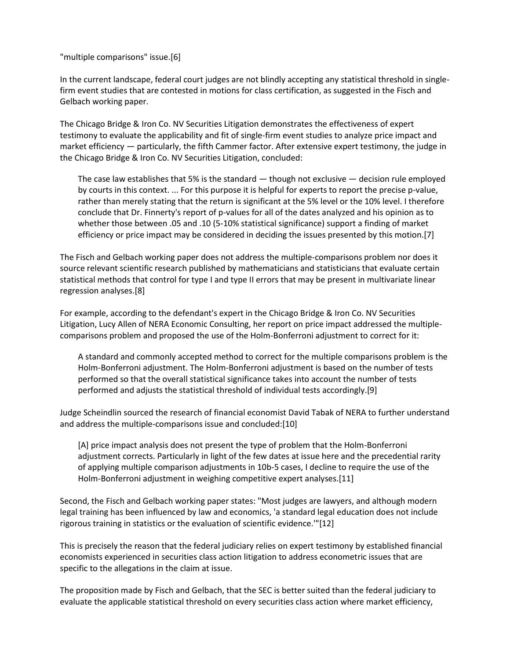"multiple comparisons" issue.[6]

In the current landscape, federal court judges are not blindly accepting any statistical threshold in singlefirm event studies that are contested in motions for class certification, as suggested in the Fisch and Gelbach working paper.

The Chicago Bridge & Iron Co. NV Securities Litigation demonstrates the effectiveness of expert testimony to evaluate the applicability and fit of single-firm event studies to analyze price impact and market efficiency — particularly, the fifth Cammer factor. After extensive expert testimony, the judge in the Chicago Bridge & Iron Co. NV Securities Litigation, concluded:

The case law establishes that 5% is the standard  $-$  though not exclusive  $-$  decision rule employed by courts in this context. ... For this purpose it is helpful for experts to report the precise p-value, rather than merely stating that the return is significant at the 5% level or the 10% level. I therefore conclude that Dr. Finnerty's report of p-values for all of the dates analyzed and his opinion as to whether those between .05 and .10 (5-10% statistical significance) support a finding of market efficiency or price impact may be considered in deciding the issues presented by this motion.[7]

The Fisch and Gelbach working paper does not address the multiple-comparisons problem nor does it source relevant scientific research published by mathematicians and statisticians that evaluate certain statistical methods that control for type I and type II errors that may be present in multivariate linear regression analyses.[8]

For example, according to the defendant's expert in the Chicago Bridge & Iron Co. NV Securities Litigation, Lucy Allen of NERA Economic Consulting, her report on price impact addressed the multiplecomparisons problem and proposed the use of the Holm-Bonferroni adjustment to correct for it:

A standard and commonly accepted method to correct for the multiple comparisons problem is the Holm-Bonferroni adjustment. The Holm-Bonferroni adjustment is based on the number of tests performed so that the overall statistical significance takes into account the number of tests performed and adjusts the statistical threshold of individual tests accordingly.[9]

Judge Scheindlin sourced the research of financial economist David Tabak of NERA to further understand and address the multiple-comparisons issue and concluded:[10]

[A] price impact analysis does not present the type of problem that the Holm-Bonferroni adjustment corrects. Particularly in light of the few dates at issue here and the precedential rarity of applying multiple comparison adjustments in 10b-5 cases, I decline to require the use of the Holm-Bonferroni adjustment in weighing competitive expert analyses.[11]

Second, the Fisch and Gelbach working paper states: "Most judges are lawyers, and although modern legal training has been influenced by law and economics, 'a standard legal education does not include rigorous training in statistics or the evaluation of scientific evidence.'"[12]

This is precisely the reason that the federal judiciary relies on expert testimony by established financial economists experienced in securities class action litigation to address econometric issues that are specific to the allegations in the claim at issue.

The proposition made by Fisch and Gelbach, that the SEC is better suited than the federal judiciary to evaluate the applicable statistical threshold on every securities class action where market efficiency,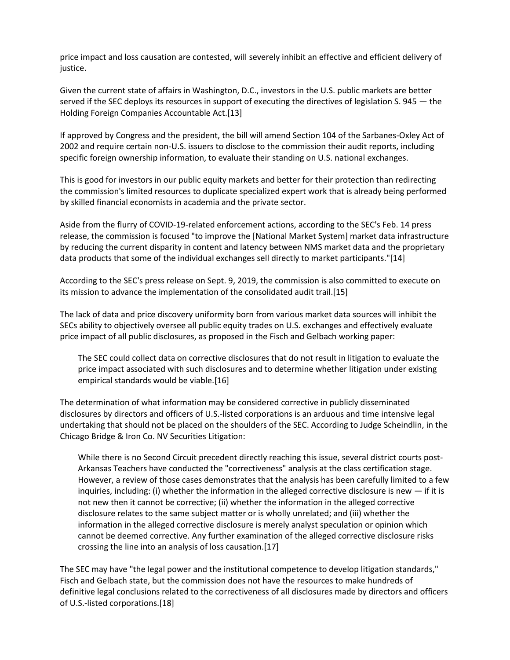price impact and loss causation are contested, will severely inhibit an effective and efficient delivery of justice.

Given the current state of affairs in Washington, D.C., investors in the U.S. public markets are better served if the SEC deploys its resources in support of executing the directives of legislation S. 945 – the Holding Foreign Companies Accountable Act.[13]

If approved by Congress and the president, the bill will amend Section 104 of the Sarbanes-Oxley Act of 2002 and require certain non-U.S. issuers to disclose to the commission their audit reports, including specific foreign ownership information, to evaluate their standing on U.S. national exchanges.

This is good for investors in our public equity markets and better for their protection than redirecting the commission's limited resources to duplicate specialized expert work that is already being performed by skilled financial economists in academia and the private sector.

Aside from the flurry of COVID-19-related enforcement actions, according to the SEC's Feb. 14 press release, the commission is focused "to improve the [National Market System] market data infrastructure by reducing the current disparity in content and latency between NMS market data and the proprietary data products that some of the individual exchanges sell directly to market participants."[14]

According to the SEC's press release on Sept. 9, 2019, the commission is also committed to execute on its mission to advance the implementation of the consolidated audit trail.[15]

The lack of data and price discovery uniformity born from various market data sources will inhibit the SECs ability to objectively oversee all public equity trades on U.S. exchanges and effectively evaluate price impact of all public disclosures, as proposed in the Fisch and Gelbach working paper:

The SEC could collect data on corrective disclosures that do not result in litigation to evaluate the price impact associated with such disclosures and to determine whether litigation under existing empirical standards would be viable.[16]

The determination of what information may be considered corrective in publicly disseminated disclosures by directors and officers of U.S.-listed corporations is an arduous and time intensive legal undertaking that should not be placed on the shoulders of the SEC. According to Judge Scheindlin, in the Chicago Bridge & Iron Co. NV Securities Litigation:

While there is no Second Circuit precedent directly reaching this issue, several district courts post-Arkansas Teachers have conducted the "correctiveness" analysis at the class certification stage. However, a review of those cases demonstrates that the analysis has been carefully limited to a few inquiries, including: (i) whether the information in the alleged corrective disclosure is new  $-$  if it is not new then it cannot be corrective; (ii) whether the information in the alleged corrective disclosure relates to the same subject matter or is wholly unrelated; and (iii) whether the information in the alleged corrective disclosure is merely analyst speculation or opinion which cannot be deemed corrective. Any further examination of the alleged corrective disclosure risks crossing the line into an analysis of loss causation.[17]

The SEC may have "the legal power and the institutional competence to develop litigation standards," Fisch and Gelbach state, but the commission does not have the resources to make hundreds of definitive legal conclusions related to the correctiveness of all disclosures made by directors and officers of U.S.-listed corporations.[18]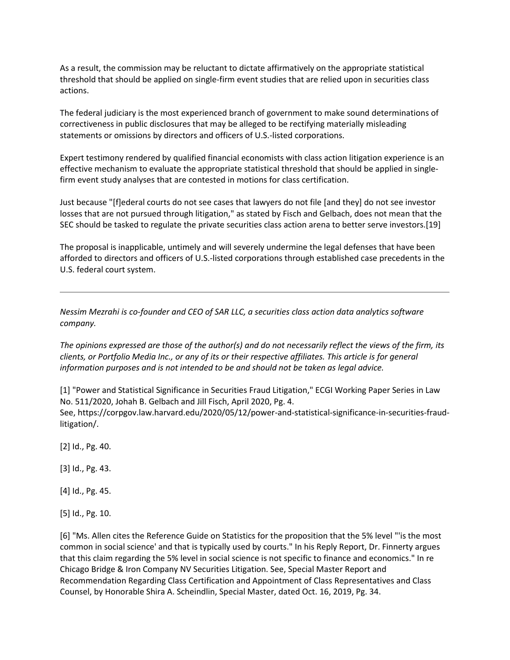As a result, the commission may be reluctant to dictate affirmatively on the appropriate statistical threshold that should be applied on single-firm event studies that are relied upon in securities class actions.

The federal judiciary is the most experienced branch of government to make sound determinations of correctiveness in public disclosures that may be alleged to be rectifying materially misleading statements or omissions by directors and officers of U.S.-listed corporations.

Expert testimony rendered by qualified financial economists with class action litigation experience is an effective mechanism to evaluate the appropriate statistical threshold that should be applied in singlefirm event study analyses that are contested in motions for class certification.

Just because "[f]ederal courts do not see cases that lawyers do not file [and they] do not see investor losses that are not pursued through litigation," as stated by Fisch and Gelbach, does not mean that the SEC should be tasked to regulate the private securities class action arena to better serve investors.[19]

The proposal is inapplicable, untimely and will severely undermine the legal defenses that have been afforded to directors and officers of U.S.-listed corporations through established case precedents in the U.S. federal court system.

*Nessim Mezrahi is co-founder and CEO of SAR LLC, a securities class action data analytics software company.*

*The opinions expressed are those of the author(s) and do not necessarily reflect the views of the firm, its clients, or Portfolio Media Inc., or any of its or their respective affiliates. This article is for general information purposes and is not intended to be and should not be taken as legal advice.*

[1] "Power and Statistical Significance in Securities Fraud Litigation," ECGI Working Paper Series in Law No. 511/2020, Johah B. Gelbach and Jill Fisch, April 2020, Pg. 4. See, https://corpgov.law.harvard.edu/2020/05/12/power-and-statistical-significance-in-securities-fraudlitigation/.

[2] Id., Pg. 40.

[3] Id., Pg. 43.

[4] Id., Pg. 45.

[5] Id., Pg. 10.

[6] "Ms. Allen cites the Reference Guide on Statistics for the proposition that the 5% level "'is the most common in social science' and that is typically used by courts." In his Reply Report, Dr. Finnerty argues that this claim regarding the 5% level in social science is not specific to finance and economics." In re Chicago Bridge & Iron Company NV Securities Litigation. See, Special Master Report and Recommendation Regarding Class Certification and Appointment of Class Representatives and Class Counsel, by Honorable Shira A. Scheindlin, Special Master, dated Oct. 16, 2019, Pg. 34.